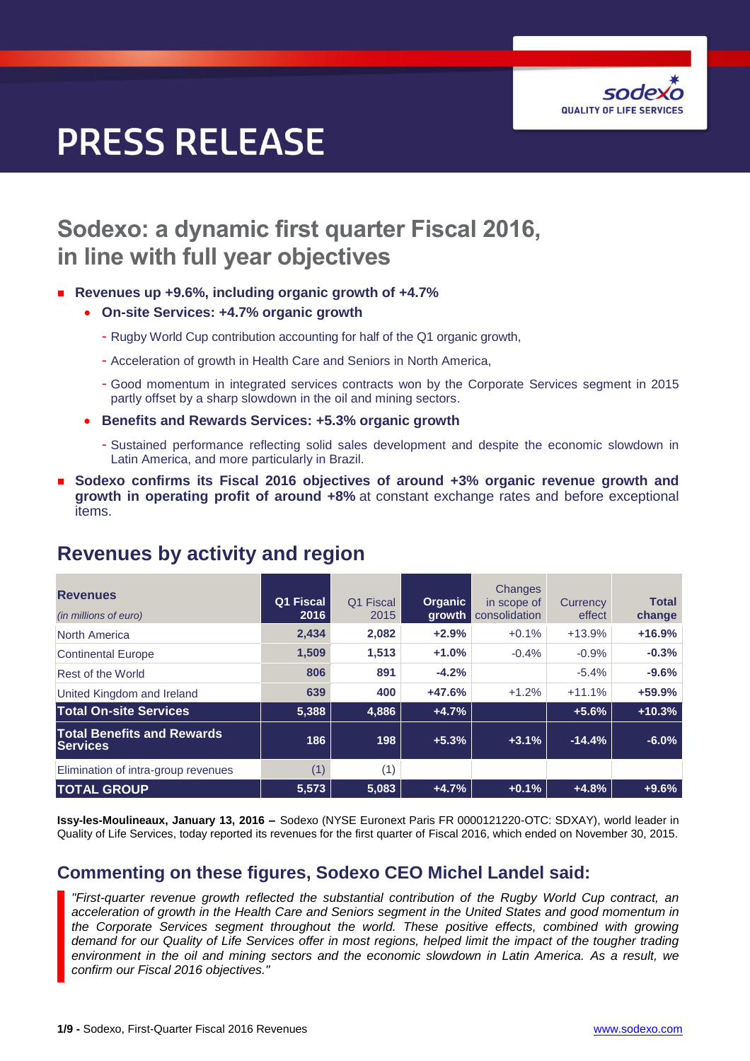

# **PRESS RELEASE**

# **Sodexo: a dynamic first quarter Fiscal 2016, in line with full year objectives**

#### ■ Revenues up +9.6%, including organic growth of +4.7%

- **On-site Services: +4.7% organic growth**
	- Rugby World Cup contribution accounting for half of the Q1 organic growth,
	- Acceleration of growth in Health Care and Seniors in North America,
	- Good momentum in integrated services contracts won by the Corporate Services segment in 2015 partly offset by a sharp slowdown in the oil and mining sectors.
- **Benefits and Rewards Services: +5.3% organic growth** 
	- Sustained performance reflecting solid sales development and despite the economic slowdown in Latin America, and more particularly in Brazil.
- **Sodexo confirms its Fiscal 2016 objectives of around +3% organic revenue growth and growth in operating profit of around +8%** at constant exchange rates and before exceptional items.

| <b>Revenues</b><br>(in millions of euro)             | Q1 Fiscal<br>2016 | Fiscal<br>Q1<br>2015 | <b>Organic</b><br>growth | Changes<br>in scope of<br>consolidation | Currency<br>effect | <b>Total</b><br>change |
|------------------------------------------------------|-------------------|----------------------|--------------------------|-----------------------------------------|--------------------|------------------------|
| North America                                        | 2,434             | 2,082                | $+2.9%$                  | $+0.1%$                                 | $+13.9%$           | $+16.9%$               |
| <b>Continental Europe</b>                            | 1.509             | 1.513                | $+1.0%$                  | $-0.4%$                                 | $-0.9%$            | $-0.3%$                |
| Rest of the World                                    | 806               | 891                  | $-4.2%$                  |                                         | $-5.4%$            | $-9.6%$                |
| United Kingdom and Ireland                           | 639               | 400                  | $+47.6%$                 | $+1.2%$                                 | $+11.1%$           | $+59.9%$               |
| <b>Total On-site Services</b>                        | 5,388             | 4,886                | $+4.7%$                  |                                         | $+5.6%$            | $+10.3%$               |
| <b>Total Benefits and Rewards</b><br><b>Services</b> | 186               | 198                  | $+5.3%$                  | $+3.1%$                                 | $-14.4%$           | $-6.0%$                |
| Elimination of intra-group revenues                  | (1)               | (1)                  |                          |                                         |                    |                        |
| <b>TOTAL GROUP</b>                                   | 5,573             | 5,083                | $+4.7%$                  | $+0.1%$                                 | $+4.8%$            | $+9.6%$                |

### **Revenues by activity and region**

**Issy-les-Moulineaux, January 13, 2016 –** Sodexo (NYSE Euronext Paris FR 0000121220-OTC: SDXAY), world leader in Quality of Life Services, today reported its revenues for the first quarter of Fiscal 2016, which ended on November 30, 2015.

### **Commenting on these figures, Sodexo CEO Michel Landel said:**

*"First-quarter revenue growth reflected the substantial contribution of the Rugby World Cup contract, an acceleration of growth in the Health Care and Seniors segment in the United States and good momentum in the Corporate Services segment throughout the world. These positive effects, combined with growing demand for our Quality of Life Services offer in most regions, helped limit the impact of the tougher trading environment in the oil and mining sectors and the economic slowdown in Latin America. As a result, we confirm our Fiscal 2016 objectives."*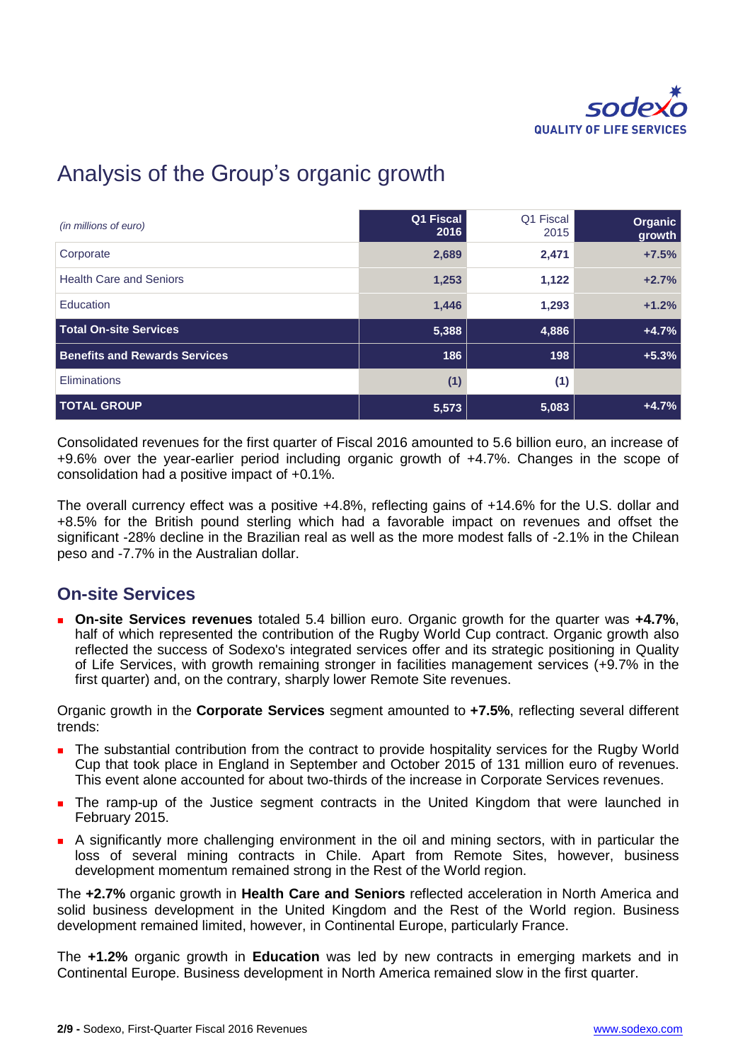

# Analysis of the Group's organic growth

| (in millions of euro)                | Q1 Fiscal<br>2016 | Q1 Fiscal<br>2015 | Organic<br>growth |
|--------------------------------------|-------------------|-------------------|-------------------|
| Corporate                            | 2,689             | 2,471             | $+7.5%$           |
| <b>Health Care and Seniors</b>       | 1,253             | 1,122             | $+2.7%$           |
| Education                            | 1,446             | 1,293             | $+1.2%$           |
| <b>Total On-site Services</b>        | 5,388             | 4,886             | $+4.7%$           |
| <b>Benefits and Rewards Services</b> | 186               | 198               | $+5.3%$           |
| Eliminations                         | (1)               | (1)               |                   |
| <b>TOTAL GROUP</b>                   | 5,573             | 5,083             | $+4.7%$           |

Consolidated revenues for the first quarter of Fiscal 2016 amounted to 5.6 billion euro, an increase of +9.6% over the year-earlier period including organic growth of +4.7%. Changes in the scope of consolidation had a positive impact of +0.1%.

The overall currency effect was a positive +4.8%, reflecting gains of +14.6% for the U.S. dollar and +8.5% for the British pound sterling which had a favorable impact on revenues and offset the significant -28% decline in the Brazilian real as well as the more modest falls of -2.1% in the Chilean peso and -7.7% in the Australian dollar.

### **On-site Services**

 **On-site Services revenues** totaled 5.4 billion euro. Organic growth for the quarter was **+4.7%**, half of which represented the contribution of the Rugby World Cup contract. Organic growth also reflected the success of Sodexo's integrated services offer and its strategic positioning in Quality of Life Services, with growth remaining stronger in facilities management services (+9.7% in the first quarter) and, on the contrary, sharply lower Remote Site revenues.

Organic growth in the **Corporate Services** segment amounted to **+7.5%**, reflecting several different trends:

- The substantial contribution from the contract to provide hospitality services for the Rugby World Cup that took place in England in September and October 2015 of 131 million euro of revenues. This event alone accounted for about two-thirds of the increase in Corporate Services revenues.
- **The ramp-up of the Justice segment contracts in the United Kingdom that were launched in** February 2015.
- A significantly more challenging environment in the oil and mining sectors, with in particular the loss of several mining contracts in Chile. Apart from Remote Sites, however, business development momentum remained strong in the Rest of the World region.

The **+2.7%** organic growth in **Health Care and Seniors** reflected acceleration in North America and solid business development in the United Kingdom and the Rest of the World region. Business development remained limited, however, in Continental Europe, particularly France.

The **+1.2%** organic growth in **Education** was led by new contracts in emerging markets and in Continental Europe. Business development in North America remained slow in the first quarter.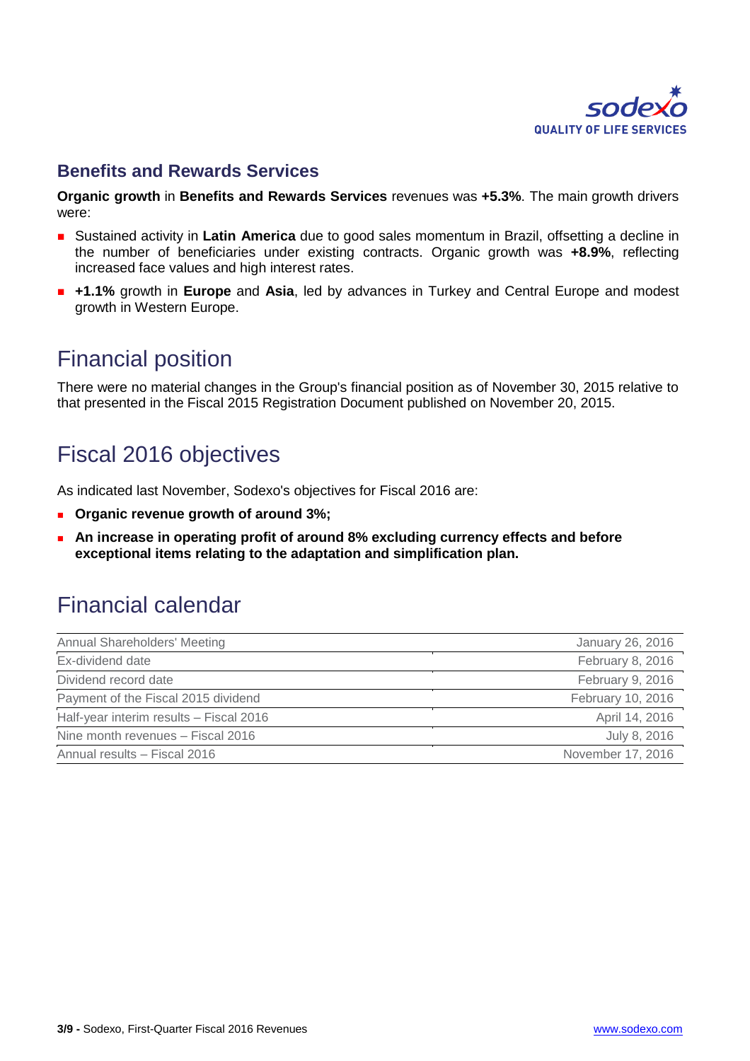

### **Benefits and Rewards Services**

**Organic growth** in **Benefits and Rewards Services** revenues was **+5.3%**. The main growth drivers were:

- **Sustained activity in Latin America** due to good sales momentum in Brazil, offsetting a decline in the number of beneficiaries under existing contracts. Organic growth was **+8.9%**, reflecting increased face values and high interest rates.
- **+1.1%** growth in **Europe** and **Asia**, led by advances in Turkey and Central Europe and modest growth in Western Europe.

### Financial position

There were no material changes in the Group's financial position as of November 30, 2015 relative to that presented in the Fiscal 2015 Registration Document published on November 20, 2015.

# Fiscal 2016 objectives

As indicated last November, Sodexo's objectives for Fiscal 2016 are:

- **Parth Organic revenue growth of around 3%;**
- **An increase in operating profit of around 8% excluding currency effects and before exceptional items relating to the adaptation and simplification plan.**

## Financial calendar

| Annual Shareholders' Meeting            | January 26, 2016  |
|-----------------------------------------|-------------------|
| Ex-dividend date                        | February 8, 2016  |
| Dividend record date                    | February 9, 2016  |
| Payment of the Fiscal 2015 dividend     | February 10, 2016 |
| Half-year interim results - Fiscal 2016 | April 14, 2016    |
| Nine month revenues - Fiscal 2016       | July 8, 2016      |
| Annual results - Fiscal 2016            | November 17, 2016 |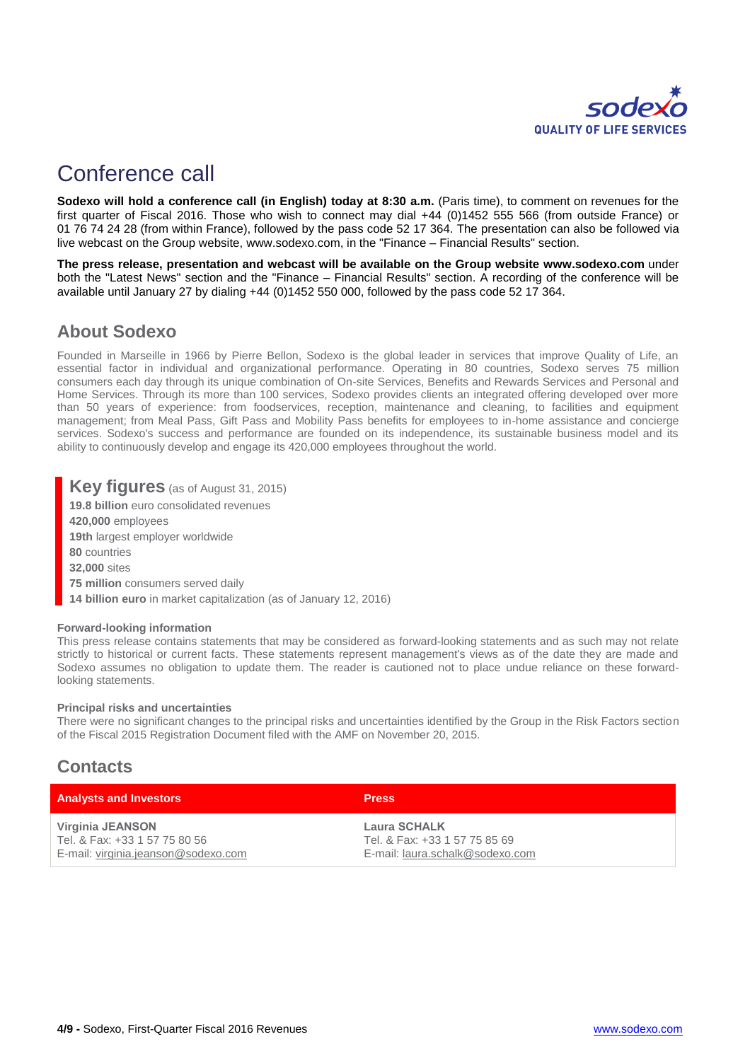

# Conference call

**Sodexo will hold a conference call (in English) today at 8:30 a.m.** (Paris time), to comment on revenues for the first quarter of Fiscal 2016. Those who wish to connect may dial +44 (0)1452 555 566 (from outside France) or 01 76 74 24 28 (from within France), followed by the pass code 52 17 364. The presentation can also be followed via live webcast on the Group website, [www.sodexo.com,](http://www.sodexo.com/) in the "Finance – Financial Results" section.

**The press release, presentation and webcast will be available on the Group website [www.sodexo.com](http://www.sodexo.com/)** under both the "Latest News" section and the "Finance – Financial Results" section. A recording of the conference will be available until January 27 by dialing +44 (0)1452 550 000, followed by the pass code 52 17 364.

### **About Sodexo**

Founded in Marseille in 1966 by Pierre Bellon, Sodexo is the global leader in services that improve Quality of Life, an essential factor in individual and organizational performance. Operating in 80 countries, Sodexo serves 75 million consumers each day through its unique combination of On-site Services, Benefits and Rewards Services and Personal and Home Services. Through its more than 100 services, Sodexo provides clients an integrated offering developed over more than 50 years of experience: from foodservices, reception, maintenance and cleaning, to facilities and equipment management; from Meal Pass, Gift Pass and Mobility Pass benefits for employees to in-home assistance and concierge services. Sodexo's success and performance are founded on its independence, its sustainable business model and its ability to continuously develop and engage its 420,000 employees throughout the world.

#### **Key figures** (as of August 31, 2015)

**19.8 billion** euro consolidated revenues

**420,000** employees

**19th** largest employer worldwide

**80** countries

**32,000** sites

- **75 million** consumers served daily
- **14 billion euro** in market capitalization (as of January 12, 2016)

#### **Forward-looking information**

This press release contains statements that may be considered as forward-looking statements and as such may not relate strictly to historical or current facts. These statements represent management's views as of the date they are made and Sodexo assumes no obligation to update them. The reader is cautioned not to place undue reliance on these forwardlooking statements.

#### **Principal risks and uncertainties**

There were no significant changes to the principal risks and uncertainties identified by the Group in the Risk Factors section of the Fiscal 2015 Registration Document filed with the AMF on November 20, 2015.

### **Contacts**

| <b>Analysts and Investors</b>       | <b>Press</b>                    |
|-------------------------------------|---------------------------------|
| Virginia JEANSON                    | Laura SCHALK                    |
| Tel. & Fax: +33 1 57 75 80 56       | Tel. & Fax: +33 1 57 75 85 69   |
| E-mail: virginia.jeanson@sodexo.com | E-mail: laura.schalk@sodexo.com |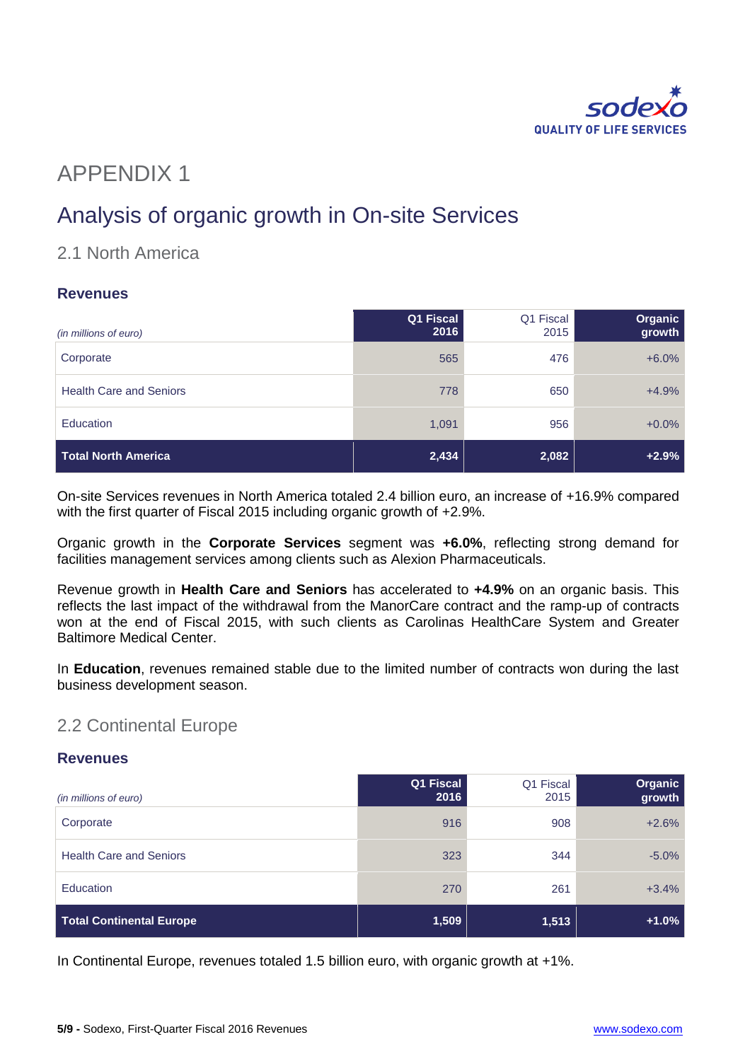

# APPENDIX 1

# Analysis of organic growth in On-site Services

### 2.1 North America

#### **Revenues**

| (in millions of euro)          | Q1 Fiscal<br>2016 | Q1 Fiscal<br>2015 | Organic<br>growth |
|--------------------------------|-------------------|-------------------|-------------------|
| Corporate                      | 565               | 476               | $+6.0%$           |
| <b>Health Care and Seniors</b> | 778               | 650               | $+4.9%$           |
| <b>Education</b>               | 1,091             | 956               | $+0.0%$           |
| Total North America            | 2,434             | 2,082             | $+2.9%$           |

On-site Services revenues in North America totaled 2.4 billion euro, an increase of +16.9% compared with the first quarter of Fiscal 2015 including organic growth of +2.9%.

Organic growth in the **Corporate Services** segment was **+6.0%**, reflecting strong demand for facilities management services among clients such as Alexion Pharmaceuticals.

Revenue growth in **Health Care and Seniors** has accelerated to **+4.9%** on an organic basis. This reflects the last impact of the withdrawal from the ManorCare contract and the ramp-up of contracts won at the end of Fiscal 2015, with such clients as Carolinas HealthCare System and Greater Baltimore Medical Center.

In **Education**, revenues remained stable due to the limited number of contracts won during the last business development season.

#### 2.2 Continental Europe

#### **Revenues**

| (in millions of euro)           | Q1 Fiscal<br>2016 | Q1 Fiscal<br>2015 | Organic<br>growth |
|---------------------------------|-------------------|-------------------|-------------------|
| Corporate                       | 916               | 908               | $+2.6%$           |
| <b>Health Care and Seniors</b>  | 323               | 344               | $-5.0\%$          |
| <b>Education</b>                | 270               | 261               | $+3.4%$           |
| <b>Total Continental Europe</b> | 1,509             | 1,513             | $+1.0%$           |

In Continental Europe, revenues totaled 1.5 billion euro, with organic growth at +1%.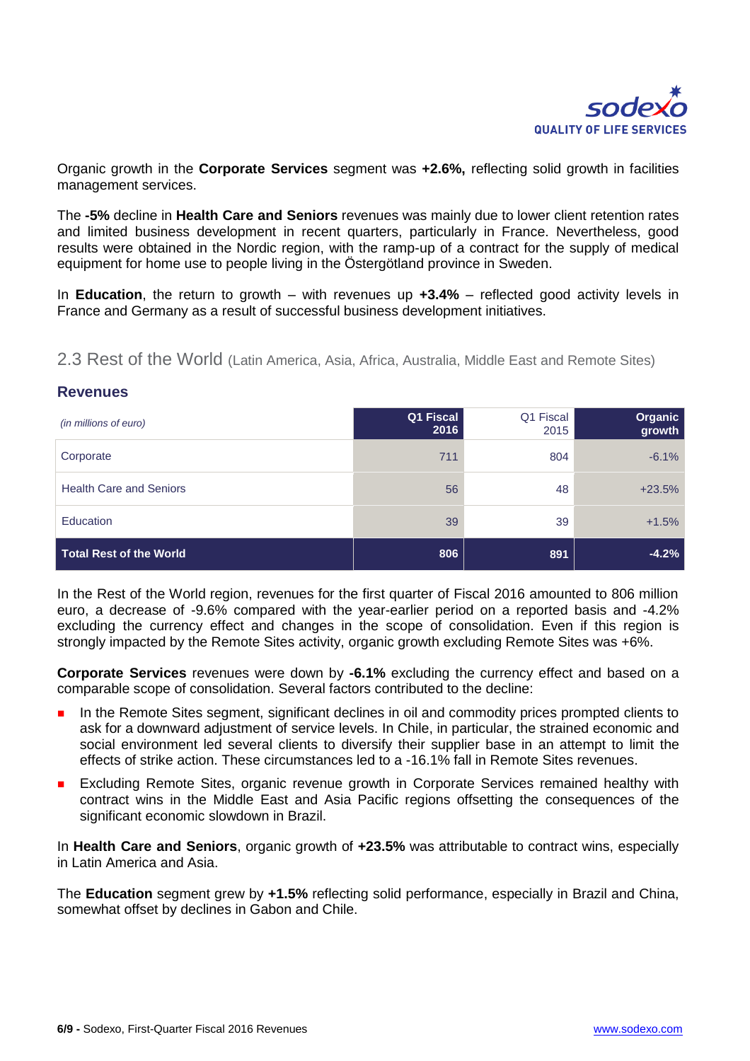

Organic growth in the **Corporate Services** segment was **+2.6%,** reflecting solid growth in facilities management services.

The **-5%** decline in **Health Care and Seniors** revenues was mainly due to lower client retention rates and limited business development in recent quarters, particularly in France. Nevertheless, good results were obtained in the Nordic region, with the ramp-up of a contract for the supply of medical equipment for home use to people living in the Östergötland province in Sweden.

In **Education**, the return to growth – with revenues up **+3.4%** – reflected good activity levels in France and Germany as a result of successful business development initiatives.

2.3 Rest of the World (Latin America, Asia, Africa, Australia, Middle East and Remote Sites)

| (in millions of euro)          | Q1 Fiscal<br>2016 | Q1 Fiscal<br>2015 | Organic<br>growth |
|--------------------------------|-------------------|-------------------|-------------------|
| Corporate                      | 711               | 804               | $-6.1%$           |
| <b>Health Care and Seniors</b> | 56                | 48                | $+23.5%$          |
| Education                      | 39                | 39                | $+1.5%$           |
| Total Rest of the World        | 806               | 891               | $-4.2%$           |

#### **Revenues**

In the Rest of the World region, revenues for the first quarter of Fiscal 2016 amounted to 806 million euro, a decrease of -9.6% compared with the year-earlier period on a reported basis and -4.2% excluding the currency effect and changes in the scope of consolidation. Even if this region is strongly impacted by the Remote Sites activity, organic growth excluding Remote Sites was +6%.

**Corporate Services** revenues were down by **-6.1%** excluding the currency effect and based on a comparable scope of consolidation. Several factors contributed to the decline:

- **In the Remote Sites segment, significant declines in oil and commodity prices prompted clients to** ask for a downward adjustment of service levels. In Chile, in particular, the strained economic and social environment led several clients to diversify their supplier base in an attempt to limit the effects of strike action. These circumstances led to a -16.1% fall in Remote Sites revenues.
- Excluding Remote Sites, organic revenue growth in Corporate Services remained healthy with contract wins in the Middle East and Asia Pacific regions offsetting the consequences of the significant economic slowdown in Brazil.

In **Health Care and Seniors**, organic growth of **+23.5%** was attributable to contract wins, especially in Latin America and Asia.

The **Education** segment grew by **+1.5%** reflecting solid performance, especially in Brazil and China, somewhat offset by declines in Gabon and Chile.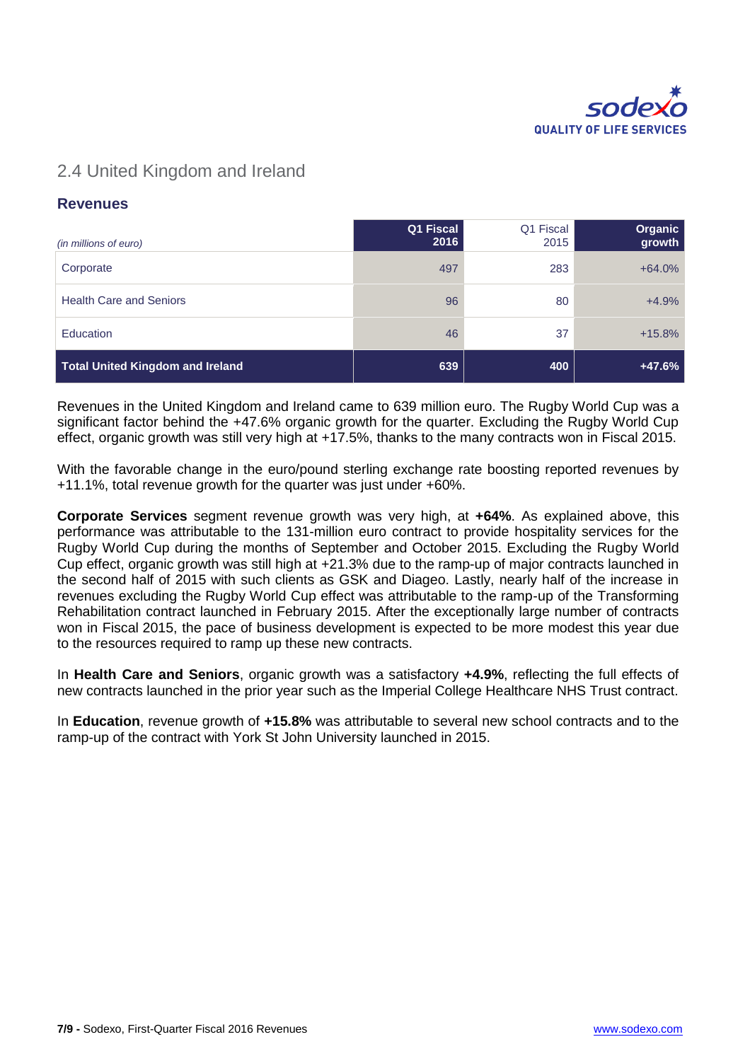

### 2.4 United Kingdom and Ireland

#### **Revenues**

| (in millions of euro)                   | Q1 Fiscal<br>2016 | Q1 Fiscal<br>2015 | Organic<br>growth |
|-----------------------------------------|-------------------|-------------------|-------------------|
| Corporate                               | 497               | 283               | $+64.0%$          |
| <b>Health Care and Seniors</b>          | 96                | 80                | $+4.9%$           |
| <b>Education</b>                        | 46                | 37                | $+15.8%$          |
| <b>Total United Kingdom and Ireland</b> | 639               | 400               | $+47.6%$          |

Revenues in the United Kingdom and Ireland came to 639 million euro. The Rugby World Cup was a significant factor behind the +47.6% organic growth for the quarter. Excluding the Rugby World Cup effect, organic growth was still very high at +17.5%, thanks to the many contracts won in Fiscal 2015.

With the favorable change in the euro/pound sterling exchange rate boosting reported revenues by +11.1%, total revenue growth for the quarter was just under +60%.

**Corporate Services** segment revenue growth was very high, at **+64%**. As explained above, this performance was attributable to the 131-million euro contract to provide hospitality services for the Rugby World Cup during the months of September and October 2015. Excluding the Rugby World Cup effect, organic growth was still high at +21.3% due to the ramp-up of major contracts launched in the second half of 2015 with such clients as GSK and Diageo. Lastly, nearly half of the increase in revenues excluding the Rugby World Cup effect was attributable to the ramp-up of the Transforming Rehabilitation contract launched in February 2015. After the exceptionally large number of contracts won in Fiscal 2015, the pace of business development is expected to be more modest this year due to the resources required to ramp up these new contracts.

In **Health Care and Seniors**, organic growth was a satisfactory **+4.9%**, reflecting the full effects of new contracts launched in the prior year such as the Imperial College Healthcare NHS Trust contract.

In **Education**, revenue growth of **+15.8%** was attributable to several new school contracts and to the ramp-up of the contract with York St John University launched in 2015.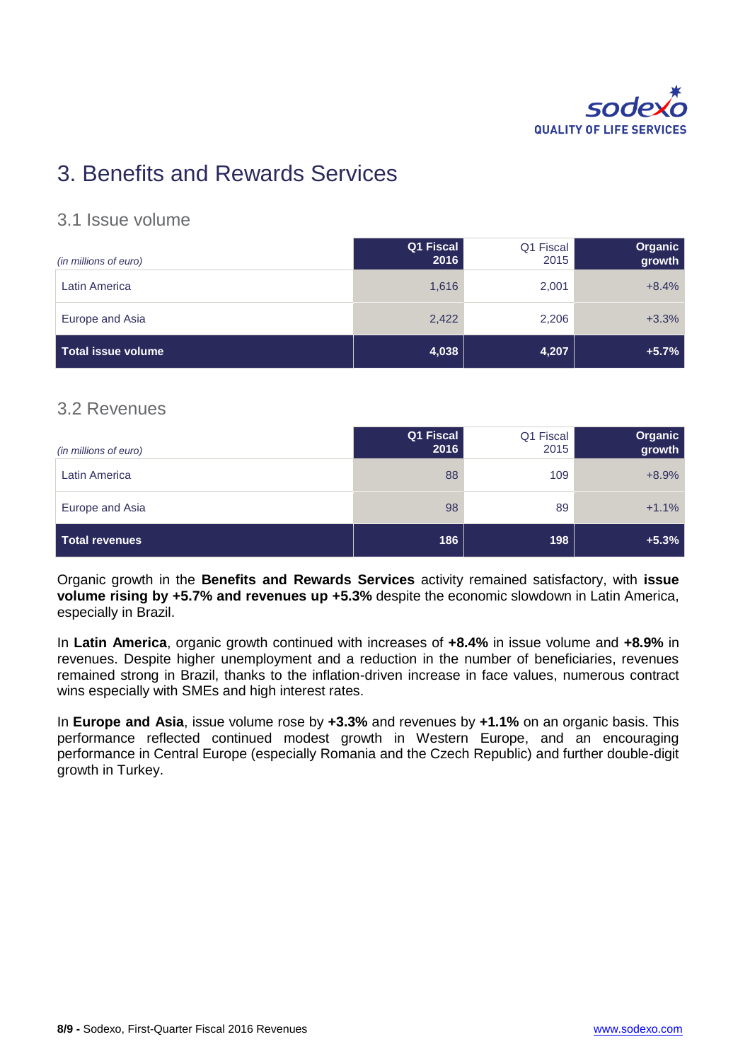

# 3. Benefits and Rewards Services

#### 3.1 Issue volume

| (in millions of euro) | Q1 Fiscal<br>2016 | Q1 Fiscal<br>2015 | Organic<br>growth |
|-----------------------|-------------------|-------------------|-------------------|
| Latin America         | 1,616             | 2,001             | $+8.4%$           |
| Europe and Asia       | 2,422             | 2,206             | $+3.3%$           |
| Total issue volume    | 4,038             | 4,207             | $+5.7%$           |

### 3.2 Revenues

| (in millions of euro) | Q1 Fiscal<br>2016 | Q1 Fiscal<br>2015 | Organic<br>growth |
|-----------------------|-------------------|-------------------|-------------------|
| <b>Latin America</b>  | 88                | 109               | $+8.9%$           |
| Europe and Asia       | 98                | 89                | $+1.1%$           |
| Total revenues        | 186               | 198               | $+5.3%$           |

Organic growth in the **Benefits and Rewards Services** activity remained satisfactory, with **issue volume rising by +5.7% and revenues up +5.3%** despite the economic slowdown in Latin America, especially in Brazil.

In **Latin America**, organic growth continued with increases of **+8.4%** in issue volume and **+8.9%** in revenues. Despite higher unemployment and a reduction in the number of beneficiaries, revenues remained strong in Brazil, thanks to the inflation-driven increase in face values, numerous contract wins especially with SMEs and high interest rates.

In **Europe and Asia**, issue volume rose by **+3.3%** and revenues by **+1.1%** on an organic basis. This performance reflected continued modest growth in Western Europe, and an encouraging performance in Central Europe (especially Romania and the Czech Republic) and further double-digit growth in Turkey.